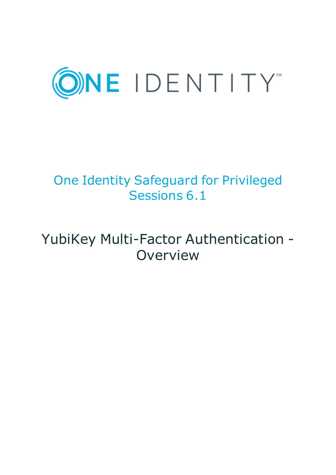

# One Identity Safeguard for Privileged Sessions 6.1

# YubiKey Multi-Factor Authentication - Overview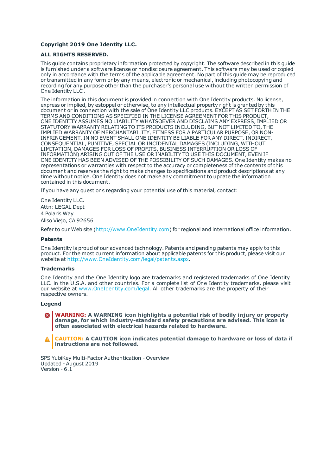#### **Copyright 2019 One Identity LLC.**

#### **ALL RIGHTS RESERVED.**

This guide contains proprietary information protected by copyright. The software described in this guide is furnished under a software license or nondisclosure agreement. This software may be used or copied only in accordance with the terms of the applicable agreement. No part of this guide may be reproduced or transmitted in any form or by any means, electronic or mechanical, including photocopying and recording for any purpose other than the purchaser's personal use without the written permission of One Identity LLC .

The information in this document is provided in connection with One Identity products. No license, express or implied, by estoppel or otherwise, to any intellectual property right is granted by this document or in connection with the sale of One Identity LLC products. EXCEPT AS SET FORTH IN THE TERMS AND CONDITIONS AS SPECIFIED IN THE LICENSE AGREEMENT FOR THIS PRODUCT, ONE IDENTITY ASSUMES NO LIABILITY WHATSOEVER AND DISCLAIMS ANY EXPRESS, IMPLIED OR STATUTORY WARRANTY RELATING TO ITS PRODUCTS INCLUDING, BUT NOT LIMITED TO, THE IMPLIED WARRANTY OF MERCHANTABILITY, FITNESS FOR A PARTICULAR PURPOSE, OR NON-INFRINGEMENT. IN NO EVENT SHALL ONE IDENTITY BE LIABLE FOR ANY DIRECT, INDIRECT, CONSEQUENTIAL, PUNITIVE, SPECIAL OR INCIDENTAL DAMAGES (INCLUDING, WITHOUT LIMITATION, DAMAGES FOR LOSS OF PROFITS, BUSINESS INTERRUPTION OR LOSS OF INFORMATION) ARISING OUT OF THE USE OR INABILITY TO USE THIS DOCUMENT, EVEN IF ONE IDENTITY HAS BEEN ADVISED OF THE POSSIBILITY OF SUCH DAMAGES. One Identity makes no representations or warranties with respect to the accuracy or completeness of the contents of this document and reserves the right to make changes to specifications and product descriptions at any time without notice. One Identity does not make any commitment to update the information contained in this document.

If you have any questions regarding your potential use of this material, contact:

One Identity LLC. Attn: LEGAL Dept 4 Polaris Way Aliso Viejo, CA 92656

Refer to our Web site ([http://www.OneIdentity.com](http://www.oneidentity.com/)) for regional and international office information.

#### **Patents**

One Identity is proud of our advanced technology. Patents and pending patents may apply to this product. For the most current information about applicable patents for this product, please visit our website at [http://www.OneIdentity.com/legal/patents.aspx](http://www.oneidentity.com/legal/patents.aspx).

#### **Trademarks**

One Identity and the One Identity logo are trademarks and registered trademarks of One Identity LLC. in the U.S.A. and other countries. For a complete list of One Identity trademarks, please visit our website at [www.OneIdentity.com/legal](http://www.oneidentity.com/legal). All other trademarks are the property of their respective owners.

#### **Legend**

**WARNING: A WARNING icon highlights a potential risk of bodily injury or property damage, for which industry-standard safety precautions are advised. This icon is often associated with electrical hazards related to hardware.**

**CAUTION: A CAUTION icon indicates potential damage to hardware or loss of data if** A **instructions are not followed.**

SPS YubiKey Multi-Factor Authentication - Overview Updated - August 2019 Version - 6.1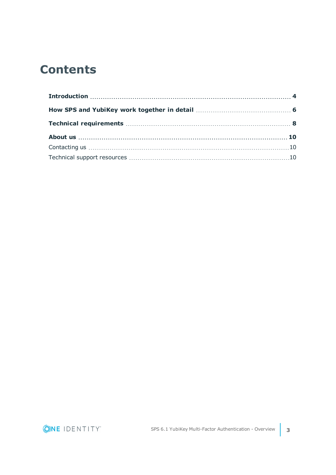## **Contents**

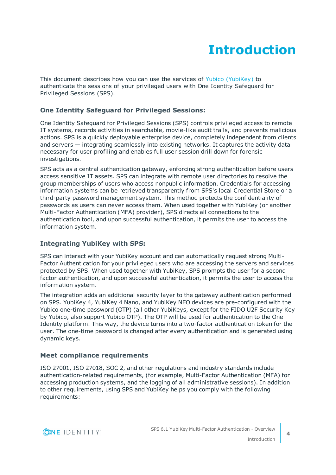## **Introduction**

<span id="page-3-0"></span>This document describes how you can use the services of Yubico [\(YubiKey\)](https://www.yubico.com/) to authenticate the sessions of your privileged users with One Identity Safeguard for Privileged Sessions (SPS).

### **One Identity Safeguard for Privileged Sessions:**

One Identity Safeguard for Privileged Sessions (SPS) controls privileged access to remote IT systems, records activities in searchable, movie-like audit trails, and prevents malicious actions. SPS is a quickly deployable enterprise device, completely independent from clients and servers — integrating seamlessly into existing networks. It captures the activity data necessary for user profiling and enables full user session drill down for forensic investigations.

SPS acts as a central authentication gateway, enforcing strong authentication before users access sensitive IT assets. SPS can integrate with remote user directories to resolve the group memberships of users who access nonpublic information. Credentials for accessing information systems can be retrieved transparently from SPS's local Credential Store or a third-party password management system. This method protects the confidentiality of passwords as users can never access them. When used together with YubiKey (or another Multi-Factor Authentication (MFA) provider), SPS directs all connections to the authentication tool, and upon successful authentication, it permits the user to access the information system.

### **Integrating YubiKey with SPS:**

SPS can interact with your YubiKey account and can automatically request strong Multi-Factor Authentication for your privileged users who are accessing the servers and services protected by SPS. When used together with YubiKey, SPS prompts the user for a second factor authentication, and upon successful authentication, it permits the user to access the information system.

The integration adds an additional security layer to the gateway authentication performed on SPS. YubiKey 4, YubiKey 4 Nano, and YubiKey NEO devices are pre-configured with the Yubico one-time password (OTP) (all other YubiKeys, except for the FIDO U2F Security Key by Yubico, also support Yubico OTP). The OTP will be used for authentication to the One Identity platform. This way, the device turns into a two-factor authentication token for the user. The one-time password is changed after every authentication and is generated using dynamic keys.

### **Meet compliance requirements**

ISO 27001, ISO 27018, SOC 2, and other regulations and industry standards include authentication-related requirements, (for example, Multi-Factor Authentication (MFA) for accessing production systems, and the logging of all administrative sessions). In addition to other requirements, using SPS and YubiKey helps you comply with the following requirements:

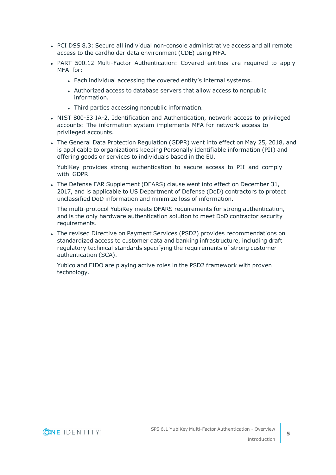- PCI DSS 8.3: Secure all individual non-console administrative access and all remote access to the cardholder data environment (CDE) using MFA.
- PART 500.12 Multi-Factor Authentication: Covered entities are required to apply MFA for:
	- Each individual accessing the covered entity's internal systems.
	- Authorized access to database servers that allow access to nonpublic information.
	- Third parties accessing nonpublic information.
- NIST 800-53 IA-2, Identification and Authentication, network access to privileged accounts: The information system implements MFA for network access to privileged accounts.
- The General Data Protection Regulation (GDPR) went into effect on May 25, 2018, and is applicable to organizations keeping Personally identifiable information (PII) and offering goods or services to individuals based in the EU.

YubiKey provides strong authentication to secure access to PII and comply with GDPR.

• The Defense FAR Supplement (DFARS) clause went into effect on December 31, 2017, and is applicable to US Department of Defense (DoD) contractors to protect unclassified DoD information and minimize loss of information.

The multi-protocol YubiKey meets DFARS requirements for strong authentication, and is the only hardware authentication solution to meet DoD contractor security requirements.

• The revised Directive on Payment Services (PSD2) provides recommendations on standardized access to customer data and banking infrastructure, including draft regulatory technical standards specifying the requirements of strong customer authentication (SCA).

Yubico and FIDO are playing active roles in the PSD2 framework with proven technology.

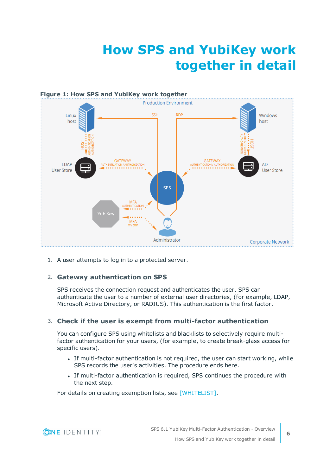## **How SPS and YubiKey work together in detail**

<span id="page-5-0"></span>

1. A user attempts to log in to a protected server.

### 2. **Gateway authentication on SPS**

SPS receives the connection request and authenticates the user. SPS can authenticate the user to a number of external user directories, (for example, LDAP, Microsoft Active Directory, or RADIUS). This authentication is the first factor.

#### 3. **Check if the user is exempt from multi-factor authentication**

You can configure SPS using whitelists and blacklists to selectively require multifactor authentication for your users, (for example, to create break-glass access for specific users).

- If multi-factor authentication is not required, the user can start working, while SPS records the user's activities. The procedure ends here.
- If multi-factor authentication is required, SPS continues the procedure with the next step.

For details on creating exemption lists, see [WHITELIST].

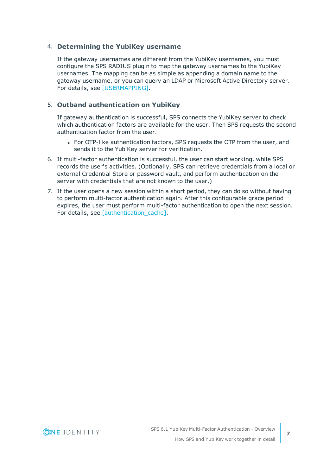#### 4. **Determining the YubiKey username**

If the gateway usernames are different from the YubiKey usernames, you must configure the SPS RADIUS plugin to map the gateway usernames to the YubiKey usernames. The mapping can be as simple as appending a domain name to the gateway username, or you can query an LDAP or Microsoft Active Directory server. For details, see [USERMAPPING].

#### 5. **Outband authentication on YubiKey**

If gateway authentication is successful, SPS connects the YubiKey server to check which authentication factors are available for the user. Then SPS requests the second authentication factor from the user.

- For OTP-like authentication factors, SPS requests the OTP from the user, and sends it to the YubiKey server for verification.
- 6. If multi-factor authentication is successful, the user can start working, while SPS records the user's activities. (Optionally, SPS can retrieve credentials from a local or external Credential Store or password vault, and perform authentication on the server with credentials that are not known to the user.)
- 7. If the user opens a new session within a short period, they can do so without having to perform multi-factor authentication again. After this configurable grace period expires, the user must perform multi-factor authentication to open the next session. For details, see [authentication\_cache].

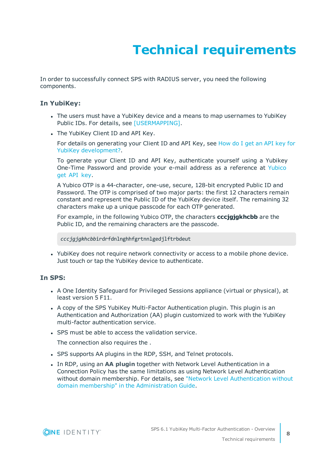# **Technical requirements**

<span id="page-7-0"></span>In order to successfully connect SPS with RADIUS server, you need the following components.

#### **In YubiKey:**

- The users must have a YubiKey device and a means to map usernames to YubiKey Public IDs. For details, see [USERMAPPING].
- The YubiKey Client ID and API Key.

For details on generating your Client ID and API Key, see [How](https://www.yubico.com/support/knowledge-base/categories/articles/get-api-key-yubikey-development/) do I get an API key for YubiKey [development?.](https://www.yubico.com/support/knowledge-base/categories/articles/get-api-key-yubikey-development/)

To generate your Client ID and API Key, authenticate yourself using a Yubikey One-Time Password and provide your e-mail address as a reference at [Yubico](https://upgrade.yubico.com/getapikey/) get API [key](https://upgrade.yubico.com/getapikey/).

A Yubico OTP is a 44-character, one-use, secure, 128-bit encrypted Public ID and Password. The OTP is comprised of two major parts: the first 12 characters remain constant and represent the Public ID of the YubiKey device itself. The remaining 32 characters make up a unique passcode for each OTP generated.

For example, in the following Yubico OTP, the characters **cccjgjgkhcbb** are the Public ID, and the remaining characters are the passcode.

*cccjgjgkhcbb*irdrfdnlnghhfgrtnnlgedjlftrbdeut

• YubiKey does not require network connectivity or access to a mobile phone device. Just touch or tap the YubiKey device to authenticate.

### **In SPS:**

- A One Identity Safeguard for Privileged Sessions appliance (virtual or physical), at least version 5 F11.
- A copy of the SPS YubiKey Multi-Factor Authentication plugin. This plugin is an Authentication and Authorization (AA) plugin customized to work with the YubiKey multi-factor authentication service.
- SPS must be able to access the validation service.

The connection also requires the .

- SPS supports AA plugins in the RDP, SSH, and Telnet protocols.
- **In RDP, using an AA plugin together with Network Level Authentication in a** Connection Policy has the same limitations as using Network Level Authentication without domain membership. For details, see "Network Level [Authentication](https://support.oneidentity.com/technical-documents/safeguard-for-privileged-sessions/6.1.0/administration-guide/rdp-specific-settings/network-level-authentication-nla-with-one-identity-safeguard-for-privileged-sessions-sps/network-level-authentication-without-domain-membership/) without domain membership" in the [Administration](https://support.oneidentity.com/technical-documents/safeguard-for-privileged-sessions/6.1.0/administration-guide/rdp-specific-settings/network-level-authentication-nla-with-one-identity-safeguard-for-privileged-sessions-sps/network-level-authentication-without-domain-membership/) Guide.

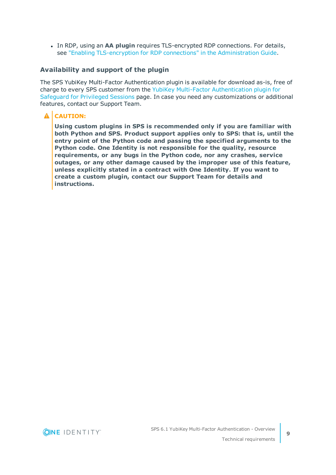**In RDP, using an AA plugin requires TLS-encrypted RDP connections. For details,** see "Enabling [TLS-encryption](https://support.oneidentity.com/technical-documents/safeguard-for-privileged-sessions/6.1.0/administration-guide/rdp-specific-settings/enabling-tls-encryption-for-rdp-connections/) for RDP connections" in the Administration Guide.

#### **Availability and support of the plugin**

The SPS YubiKey Multi-Factor Authentication plugin is available for download as-is, free of charge to every SPS customer from the YubiKey Multi-Factor [Authentication](https://github.com/OneIdentity/safeguard-sessions-plugin-yubikey-mfa) plugin for [Safeguard](https://github.com/OneIdentity/safeguard-sessions-plugin-yubikey-mfa) for Privileged Sessions page. In case you need any customizations or additional features, contact our Support Team.

### **A** CAUTION:

**Using custom plugins in SPS is recommended only if you are familiar with both Python and SPS. Product support applies only to SPS: that is, until the entry point of the Python code and passing the specified arguments to the Python code. One Identity is not responsible for the quality, resource requirements, or any bugs in the Python code, nor any crashes, service outages, or any other damage caused by the improper use of this feature, unless explicitly stated in a contract with One Identity. If you want to create a custom plugin, contact our Support Team for details and instructions.**